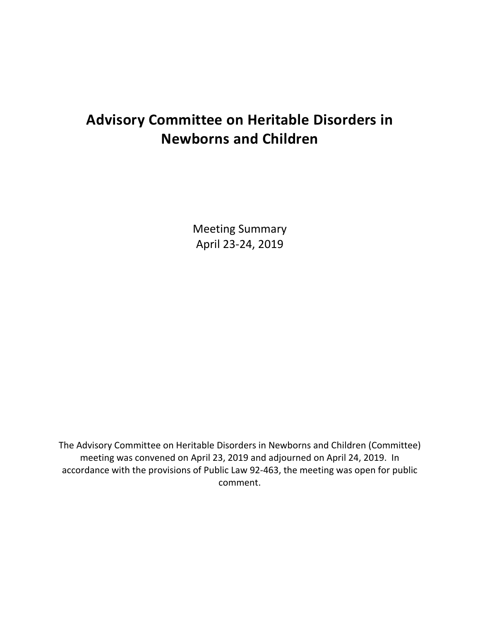# **Advisory Committee on Heritable Disorders in Newborns and Children**

Meeting Summary April 23-24, 2019

The Advisory Committee on Heritable Disorders in Newborns and Children (Committee) meeting was convened on April 23, 2019 and adjourned on April 24, 2019. In accordance with the provisions of Public Law 92-463, the meeting was open for public comment.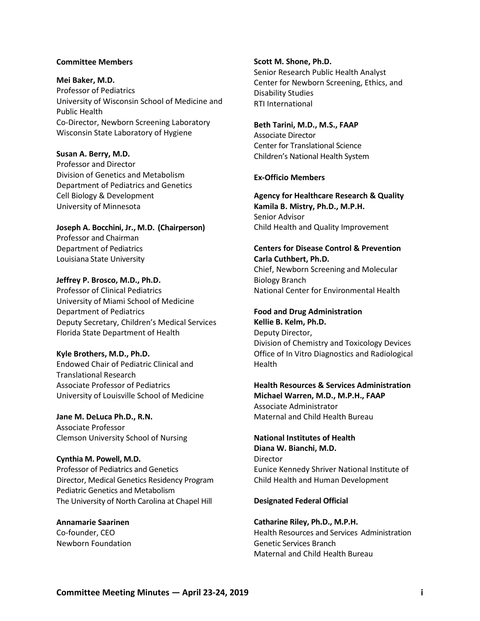#### **Committee Members**

**Mei Baker, M.D.**  Professor of Pediatrics University of Wisconsin School of Medicine and Public Health Co-Director, Newborn Screening Laboratory Wisconsin State Laboratory of Hygiene

**Susan A. Berry, M.D.** Professor and Director Division of Genetics and Metabolism Department of Pediatrics and Genetics Cell Biology & Development

University of Minnesota

**Joseph A. Bocchini, Jr., M.D. (Chairperson)** Professor and Chairman Department of Pediatrics Louisiana State University

**Jeffrey P. Brosco, M.D., Ph.D.** Professor of Clinical Pediatrics University of Miami School of Medicine Department of Pediatrics Deputy Secretary, Children's Medical Services Florida State Department of Health

**Kyle Brothers, M.D., Ph.D.**  Endowed Chair of Pediatric Clinical and Translational Research Associate Professor of Pediatrics University of Louisville School of Medicine

**Jane M. DeLuca Ph.D., R.N.**  Associate Professor Clemson University School of Nursing

**Cynthia M. Powell, M.D.** Professor of Pediatrics and Genetics Director, Medical Genetics Residency Program Pediatric Genetics and Metabolism The University of North Carolina at Chapel Hill

**Annamarie Saarinen** Co-founder, CEO Newborn Foundation **Scott M. Shone, Ph.D.** Senior Research Public Health Analyst Center for Newborn Screening, Ethics, and Disability Studies RTI International

**Beth Tarini, M.D., M.S., FAAP**  Associate Director Center for Translational Science Children's National Health System

#### **Ex-Officio Members**

**Agency for Healthcare Research & Quality Kamila B. Mistry, Ph.D., M.P.H.**  Senior Advisor Child Health and Quality Improvement

### **Centers for Disease Control & Prevention Carla Cuthbert, Ph.D.**

Chief, Newborn Screening and Molecular Biology Branch National Center for Environmental Health

**Food and Drug Administration Kellie B. Kelm, Ph.D.** Deputy Director, Division of Chemistry and Toxicology Devices Office of In Vitro Diagnostics and Radiological Health

**Health Resources & Services Administration Michael Warren, M.D., M.P.H., FAAP** Associate Administrator Maternal and Child Health Bureau

**National Institutes of Health Diana W. Bianchi, M.D. Director** Eunice Kennedy Shriver National Institute of Child Health and Human Development

#### **Designated Federal Official**

**Catharine Riley, Ph.D., M.P.H.** Health Resources and Services Administration Genetic Services Branch Maternal and Child Health Bureau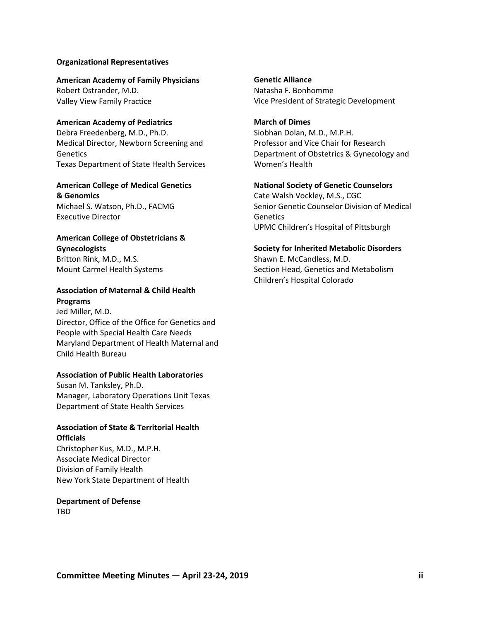#### **Organizational Representatives**

**American Academy of Family Physicians** Robert Ostrander, M.D. Valley View Family Practice

**American Academy of Pediatrics** Debra Freedenberg, M.D., Ph.D. Medical Director, Newborn Screening and **Genetics** Texas Department of State Health Services

### **American College of Medical Genetics & Genomics**

Michael S. Watson, Ph.D., FACMG Executive Director

### **American College of Obstetricians & Gynecologists**

Britton Rink, M.D., M.S. Mount Carmel Health Systems

### **Association of Maternal & Child Health Programs**

Jed Miller, M.D. Director, Office of the Office for Genetics and People with Special Health Care Needs Maryland Department of Health Maternal and Child Health Bureau

#### **Association of Public Health Laboratories**

Susan M. Tanksley, Ph.D. Manager, Laboratory Operations Unit Texas Department of State Health Services

### **Association of State & Territorial Health Officials**

Christopher Kus, M.D., M.P.H. Associate Medical Director Division of Family Health New York State Department of Health

## **Department of Defense**

TBD

**Genetic Alliance** Natasha F. Bonhomme Vice President of Strategic Development

**March of Dimes** Siobhan Dolan, M.D., M.P.H. Professor and Vice Chair for Research Department of Obstetrics & Gynecology and Women's Health

## **National Society of Genetic Counselors**

Cate Walsh Vockley, M.S., CGC Senior Genetic Counselor Division of Medical **Genetics** UPMC Children's Hospital of Pittsburgh

#### **Society for Inherited Metabolic Disorders**

Shawn E. McCandless, M.D. Section Head, Genetics and Metabolism Children's Hospital Colorado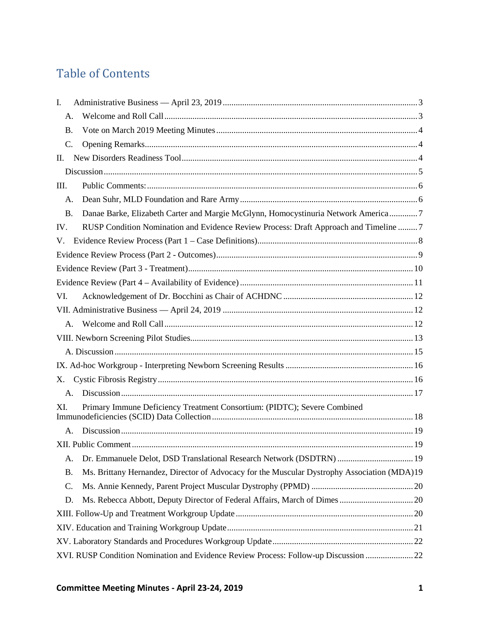# Table of Contents

| I.          |                                                                                             |  |
|-------------|---------------------------------------------------------------------------------------------|--|
| A.          |                                                                                             |  |
| <b>B.</b>   |                                                                                             |  |
| C.          |                                                                                             |  |
| П.          |                                                                                             |  |
|             |                                                                                             |  |
| III.        |                                                                                             |  |
| A.          |                                                                                             |  |
| <b>B.</b>   | Danae Barke, Elizabeth Carter and Margie McGlynn, Homocystinuria Network America7           |  |
| IV.         | RUSP Condition Nomination and Evidence Review Process: Draft Approach and Timeline 7        |  |
| V.          |                                                                                             |  |
|             |                                                                                             |  |
|             |                                                                                             |  |
|             |                                                                                             |  |
| VI.         |                                                                                             |  |
|             |                                                                                             |  |
| $A_{\cdot}$ |                                                                                             |  |
|             |                                                                                             |  |
|             |                                                                                             |  |
|             |                                                                                             |  |
| X.          |                                                                                             |  |
| $A_{\cdot}$ |                                                                                             |  |
| XI.         | Primary Immune Deficiency Treatment Consortium: (PIDTC); Severe Combined                    |  |
| A.          |                                                                                             |  |
|             |                                                                                             |  |
| A.          | Dr. Emmanuele Delot, DSD Translational Research Network (DSDTRN)  19                        |  |
| <b>B.</b>   | Ms. Brittany Hernandez, Director of Advocacy for the Muscular Dystrophy Association (MDA)19 |  |
| C.          |                                                                                             |  |
| D.          |                                                                                             |  |
|             |                                                                                             |  |
|             |                                                                                             |  |
|             |                                                                                             |  |
|             | XVI. RUSP Condition Nomination and Evidence Review Process: Follow-up Discussion 22         |  |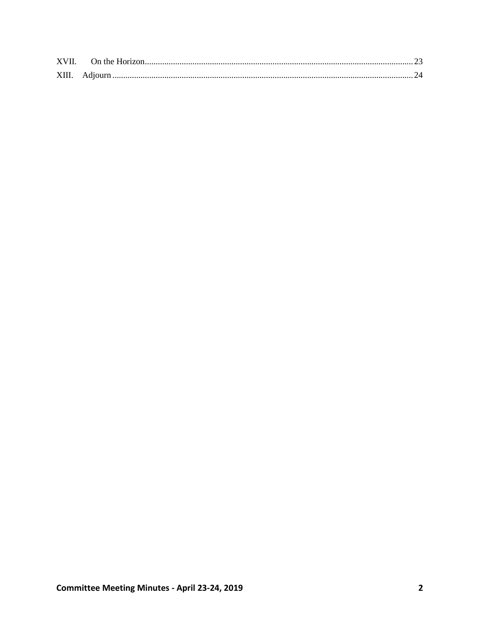| XVII. |  |
|-------|--|
| XIII. |  |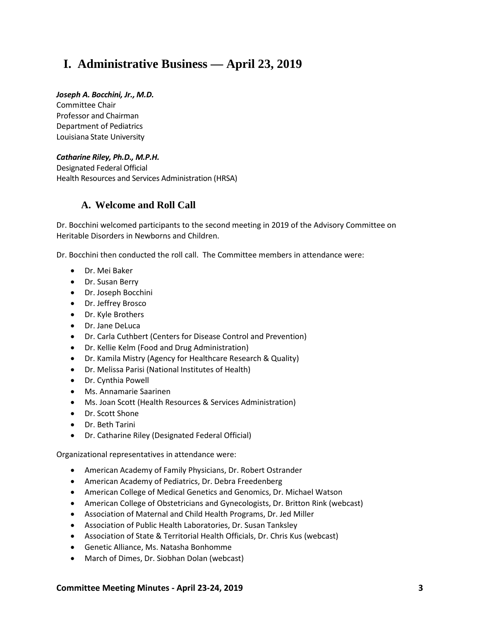# <span id="page-5-0"></span>**I. Administrative Business — April 23, 2019**

### *Joseph A. Bocchini, Jr., M.D.*

Committee Chair Professor and Chairman Department of Pediatrics Louisiana State University

### *Catharine Riley, Ph.D., M.P.H.*

Designated Federal Official Health Resources and Services Administration (HRSA)

### <span id="page-5-1"></span>**A. Welcome and Roll Call**

Dr. Bocchini welcomed participants to the second meeting in 2019 of the Advisory Committee on Heritable Disorders in Newborns and Children.

Dr. Bocchini then conducted the roll call. The Committee members in attendance were:

- Dr. Mei Baker
- Dr. Susan Berry
- Dr. Joseph Bocchini
- Dr. Jeffrey Brosco
- Dr. Kyle Brothers
- Dr. Jane DeLuca
- Dr. Carla Cuthbert (Centers for Disease Control and Prevention)
- Dr. Kellie Kelm (Food and Drug Administration)
- Dr. Kamila Mistry (Agency for Healthcare Research & Quality)
- Dr. Melissa Parisi (National Institutes of Health)
- Dr. Cynthia Powell
- Ms. Annamarie Saarinen
- Ms. Joan Scott (Health Resources & Services Administration)
- Dr. Scott Shone
- Dr. Beth Tarini
- Dr. Catharine Riley (Designated Federal Official)

Organizational representatives in attendance were:

- American Academy of Family Physicians, Dr. Robert Ostrander
- American Academy of Pediatrics, Dr. Debra Freedenberg
- American College of Medical Genetics and Genomics, Dr. Michael Watson
- American College of Obstetricians and Gynecologists, Dr. Britton Rink (webcast)
- Association of Maternal and Child Health Programs, Dr. Jed Miller
- Association of Public Health Laboratories, Dr. Susan Tanksley
- Association of State & Territorial Health Officials, Dr. Chris Kus (webcast)
- Genetic Alliance, Ms. Natasha Bonhomme
- March of Dimes, Dr. Siobhan Dolan (webcast)

### **Committee Meeting Minutes - April 23-24, 2019 3**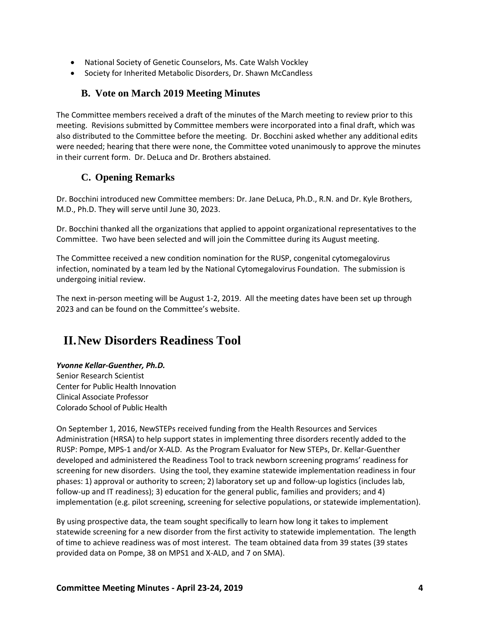- National Society of Genetic Counselors, Ms. Cate Walsh Vockley
- Society for Inherited Metabolic Disorders, Dr. Shawn McCandless

### **B. Vote on March 2019 Meeting Minutes**

<span id="page-6-0"></span>The Committee members received a draft of the minutes of the March meeting to review prior to this meeting. Revisions submitted by Committee members were incorporated into a final draft, which was also distributed to the Committee before the meeting. Dr. Bocchini asked whether any additional edits were needed; hearing that there were none, the Committee voted unanimously to approve the minutes in their current form. Dr. DeLuca and Dr. Brothers abstained.

## **C. Opening Remarks**

<span id="page-6-1"></span>Dr. Bocchini introduced new Committee members: Dr. Jane DeLuca, Ph.D., R.N. and Dr. Kyle Brothers, M.D., Ph.D. They will serve until June 30, 2023.

Dr. Bocchini thanked all the organizations that applied to appoint organizational representatives to the Committee. Two have been selected and will join the Committee during its August meeting.

The Committee received a new condition nomination for the RUSP, congenital cytomegalovirus infection, nominated by a team led by the National Cytomegalovirus Foundation. The submission is undergoing initial review.

The next in-person meeting will be August 1-2, 2019. All the meeting dates have been set up through 2023 and can be found on the Committee's website.

# <span id="page-6-2"></span>**II.New Disorders Readiness Tool**

### *Yvonne Kellar-Guenther, Ph.D.*

Senior Research Scientist Center for Public Health Innovation Clinical Associate Professor Colorado School of Public Health

On September 1, 2016, NewSTEPs received funding from the Health Resources and Services Administration (HRSA) to help support states in implementing three disorders recently added to the RUSP: Pompe, MPS-1 and/or X-ALD. As the Program Evaluator for New STEPs, Dr. Kellar-Guenther developed and administered the Readiness Tool to track newborn screening programs' readiness for screening for new disorders.Using the tool, they examine statewide implementation readiness in four phases: 1) approval or authority to screen; 2) laboratory set up and follow-up logistics (includes lab, follow-up and IT readiness); 3) education for the general public, families and providers; and 4) implementation (e.g. pilot screening, screening for selective populations, or statewide implementation).

By using prospective data, the team sought specifically to learn how long it takes to implement statewide screening for a new disorder from the first activity to statewide implementation. The length of time to achieve readiness was of most interest. The team obtained data from 39 states (39 states provided data on Pompe, 38 on MPS1 and X-ALD, and 7 on SMA).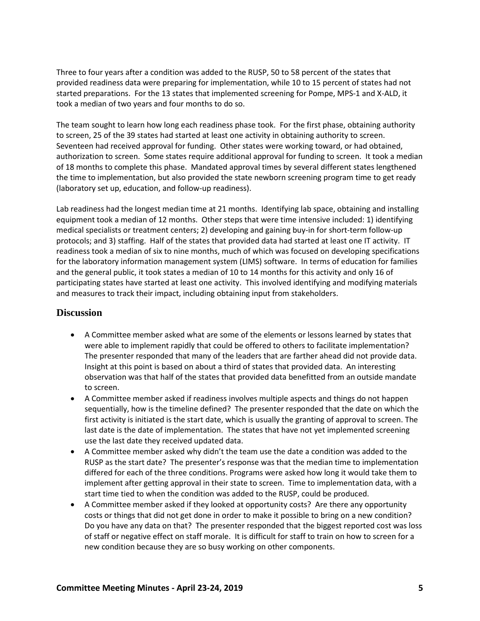Three to four years after a condition was added to the RUSP, 50 to 58 percent of the states that provided readiness data were preparing for implementation, while 10 to 15 percent of states had not started preparations. For the 13 states that implemented screening for Pompe, MPS-1 and X-ALD, it took a median of two years and four months to do so.

The team sought to learn how long each readiness phase took. For the first phase, obtaining authority to screen, 25 of the 39 states had started at least one activity in obtaining authority to screen. Seventeen had received approval for funding. Other states were working toward, or had obtained, authorization to screen. Some states require additional approval for funding to screen. It took a median of 18 months to complete this phase. Mandated approval times by several different states lengthened the time to implementation, but also provided the state newborn screening program time to get ready (laboratory set up, education, and follow-up readiness).

Lab readiness had the longest median time at 21 months. Identifying lab space, obtaining and installing equipment took a median of 12 months. Other steps that were time intensive included: 1) identifying medical specialists or treatment centers; 2) developing and gaining buy-in for short-term follow-up protocols; and 3) staffing. Half of the states that provided data had started at least one IT activity. IT readiness took a median of six to nine months, much of which was focused on developing specifications for the laboratory information management system (LIMS) software. In terms of education for families and the general public, it took states a median of 10 to 14 months for this activity and only 16 of participating states have started at least one activity. This involved identifying and modifying materials and measures to track their impact, including obtaining input from stakeholders.

### <span id="page-7-0"></span>**Discussion**

- A Committee member asked what are some of the elements or lessons learned by states that were able to implement rapidly that could be offered to others to facilitate implementation? The presenter responded that many of the leaders that are farther ahead did not provide data. Insight at this point is based on about a third of states that provided data. An interesting observation was that half of the states that provided data benefitted from an outside mandate to screen.
- A Committee member asked if readiness involves multiple aspects and things do not happen sequentially, how is the timeline defined? The presenter responded that the date on which the first activity is initiated is the start date, which is usually the granting of approval to screen. The last date is the date of implementation. The states that have not yet implemented screening use the last date they received updated data.
- A Committee member asked why didn't the team use the date a condition was added to the RUSP as the start date? The presenter's response was that the median time to implementation differed for each of the three conditions. Programs were asked how long it would take them to implement after getting approval in their state to screen. Time to implementation data, with a start time tied to when the condition was added to the RUSP, could be produced.
- A Committee member asked if they looked at opportunity costs? Are there any opportunity costs or things that did not get done in order to make it possible to bring on a new condition? Do you have any data on that? The presenter responded that the biggest reported cost was loss of staff or negative effect on staff morale. It is difficult for staff to train on how to screen for a new condition because they are so busy working on other components.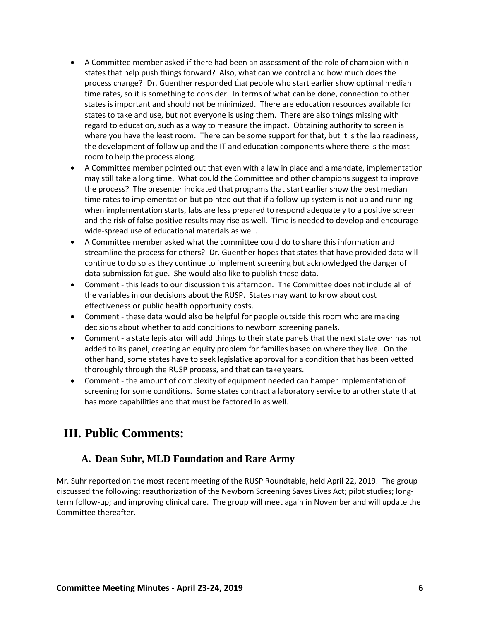- A Committee member asked if there had been an assessment of the role of champion within states that help push things forward? Also, what can we control and how much does the process change? Dr. Guenther responded that people who start earlier show optimal median time rates, so it is something to consider. In terms of what can be done, connection to other states is important and should not be minimized. There are education resources available for states to take and use, but not everyone is using them. There are also things missing with regard to education, such as a way to measure the impact. Obtaining authority to screen is where you have the least room. There can be some support for that, but it is the lab readiness, the development of follow up and the IT and education components where there is the most room to help the process along.
- A Committee member pointed out that even with a law in place and a mandate, implementation may still take a long time. What could the Committee and other champions suggest to improve the process? The presenter indicated that programs that start earlier show the best median time rates to implementation but pointed out that if a follow-up system is not up and running when implementation starts, labs are less prepared to respond adequately to a positive screen and the risk of false positive results may rise as well. Time is needed to develop and encourage wide-spread use of educational materials as well.
- A Committee member asked what the committee could do to share this information and streamline the process for others? Dr. Guenther hopes that states that have provided data will continue to do so as they continue to implement screening but acknowledged the danger of data submission fatigue. She would also like to publish these data.
- Comment this leads to our discussion this afternoon. The Committee does not include all of the variables in our decisions about the RUSP. States may want to know about cost effectiveness or public health opportunity costs.
- Comment these data would also be helpful for people outside this room who are making decisions about whether to add conditions to newborn screening panels.
- Comment a state legislator will add things to their state panels that the next state over has not added to its panel, creating an equity problem for families based on where they live. On the other hand, some states have to seek legislative approval for a condition that has been vetted thoroughly through the RUSP process, and that can take years.
- Comment the amount of complexity of equipment needed can hamper implementation of screening for some conditions. Some states contract a laboratory service to another state that has more capabilities and that must be factored in as well.

# <span id="page-8-0"></span>**III. Public Comments:**

## **A. Dean Suhr, MLD Foundation and Rare Army**

<span id="page-8-1"></span>Mr. Suhr reported on the most recent meeting of the RUSP Roundtable, held April 22, 2019. The group discussed the following: reauthorization of the Newborn Screening Saves Lives Act; pilot studies; longterm follow-up; and improving clinical care. The group will meet again in November and will update the Committee thereafter.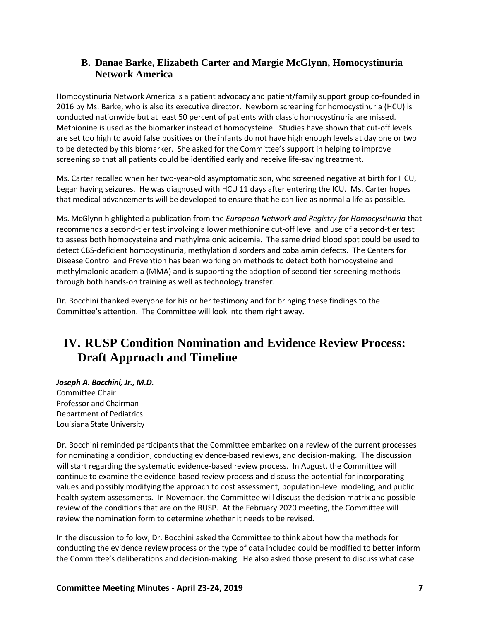### <span id="page-9-0"></span>**B. Danae Barke, Elizabeth Carter and Margie McGlynn, Homocystinuria Network America**

Homocystinuria Network America is a patient advocacy and patient/family support group co-founded in 2016 by Ms. Barke, who is also its executive director. Newborn screening for homocystinuria (HCU) is conducted nationwide but at least 50 percent of patients with classic homocystinuria are missed. Methionine is used as the biomarker instead of homocysteine. Studies have shown that cut-off levels are set too high to avoid false positives or the infants do not have high enough levels at day one or two to be detected by this biomarker. She asked for the Committee's support in helping to improve screening so that all patients could be identified early and receive life-saving treatment.

Ms. Carter recalled when her two-year-old asymptomatic son, who screened negative at birth for HCU, began having seizures. He was diagnosed with HCU 11 days after entering the ICU. Ms. Carter hopes that medical advancements will be developed to ensure that he can live as normal a life as possible.

Ms. McGlynn highlighted a publication from the *European Network and Registry for Homocystinuria* that recommends a second-tier test involving a lower methionine cut-off level and use of a second-tier test to assess both homocysteine and methylmalonic acidemia. The same dried blood spot could be used to detect CBS-deficient homocystinuria, methylation disorders and cobalamin defects. The Centers for Disease Control and Prevention has been working on methods to detect both homocysteine and methylmalonic academia (MMA) and is supporting the adoption of second-tier screening methods through both hands-on training as well as technology transfer.

Dr. Bocchini thanked everyone for his or her testimony and for bringing these findings to the Committee's attention. The Committee will look into them right away.

# <span id="page-9-1"></span>**IV. RUSP Condition Nomination and Evidence Review Process: Draft Approach and Timeline**

*Joseph A. Bocchini, Jr., M.D.*  Committee Chair Professor and Chairman Department of Pediatrics Louisiana State University

Dr. Bocchini reminded participants that the Committee embarked on a review of the current processes for nominating a condition, conducting evidence-based reviews, and decision-making. The discussion will start regarding the systematic evidence-based review process. In August, the Committee will continue to examine the evidence-based review process and discuss the potential for incorporating values and possibly modifying the approach to cost assessment, population-level modeling, and public health system assessments. In November, the Committee will discuss the decision matrix and possible review of the conditions that are on the RUSP. At the February 2020 meeting, the Committee will review the nomination form to determine whether it needs to be revised.

In the discussion to follow, Dr. Bocchini asked the Committee to think about how the methods for conducting the evidence review process or the type of data included could be modified to better inform the Committee's deliberations and decision-making. He also asked those present to discuss what case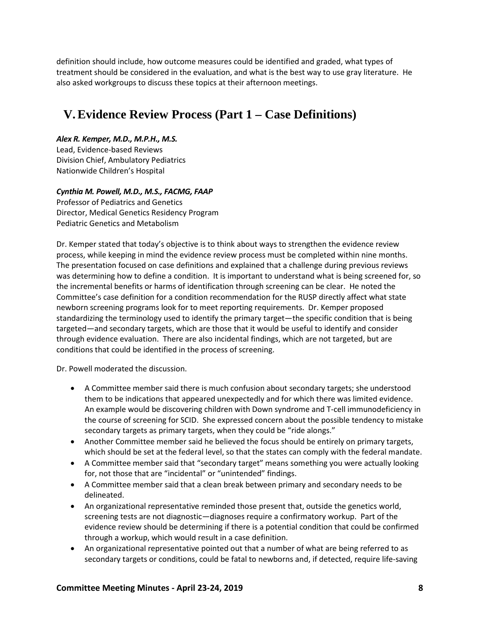definition should include, how outcome measures could be identified and graded, what types of treatment should be considered in the evaluation, and what is the best way to use gray literature. He also asked workgroups to discuss these topics at their afternoon meetings.

# <span id="page-10-0"></span>**V.Evidence Review Process (Part 1 – Case Definitions)**

### *Alex R. Kemper, M.D., M.P.H., M.S.*

Lead, Evidence-based Reviews Division Chief, Ambulatory Pediatrics Nationwide Children's Hospital

### *Cynthia M. Powell, M.D., M.S., FACMG, FAAP*

Professor of Pediatrics and Genetics Director, Medical Genetics Residency Program Pediatric Genetics and Metabolism

Dr. Kemper stated that today's objective is to think about ways to strengthen the evidence review process, while keeping in mind the evidence review process must be completed within nine months. The presentation focused on case definitions and explained that a challenge during previous reviews was determining how to define a condition. It is important to understand what is being screened for, so the incremental benefits or harms of identification through screening can be clear. He noted the Committee's case definition for a condition recommendation for the RUSP directly affect what state newborn screening programs look for to meet reporting requirements. Dr. Kemper proposed standardizing the terminology used to identify the primary target—the specific condition that is being targeted—and secondary targets, which are those that it would be useful to identify and consider through evidence evaluation. There are also incidental findings, which are not targeted, but are conditions that could be identified in the process of screening.

Dr. Powell moderated the discussion.

- A Committee member said there is much confusion about secondary targets; she understood them to be indications that appeared unexpectedly and for which there was limited evidence. An example would be discovering children with Down syndrome and T-cell immunodeficiency in the course of screening for SCID. She expressed concern about the possible tendency to mistake secondary targets as primary targets, when they could be "ride alongs."
- Another Committee member said he believed the focus should be entirely on primary targets, which should be set at the federal level, so that the states can comply with the federal mandate.
- A Committee member said that "secondary target" means something you were actually looking for, not those that are "incidental" or "unintended" findings.
- A Committee member said that a clean break between primary and secondary needs to be delineated.
- An organizational representative reminded those present that, outside the genetics world, screening tests are not diagnostic—diagnoses require a confirmatory workup. Part of the evidence review should be determining if there is a potential condition that could be confirmed through a workup, which would result in a case definition.
- An organizational representative pointed out that a number of what are being referred to as secondary targets or conditions, could be fatal to newborns and, if detected, require life-saving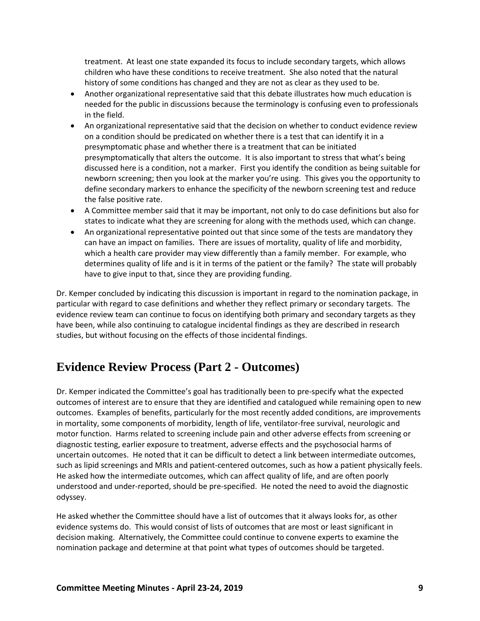treatment. At least one state expanded its focus to include secondary targets, which allows children who have these conditions to receive treatment. She also noted that the natural history of some conditions has changed and they are not as clear as they used to be.

- Another organizational representative said that this debate illustrates how much education is needed for the public in discussions because the terminology is confusing even to professionals in the field.
- An organizational representative said that the decision on whether to conduct evidence review on a condition should be predicated on whether there is a test that can identify it in a presymptomatic phase and whether there is a treatment that can be initiated presymptomatically that alters the outcome. It is also important to stress that what's being discussed here is a condition, not a marker. First you identify the condition as being suitable for newborn screening; then you look at the marker you're using. This gives you the opportunity to define secondary markers to enhance the specificity of the newborn screening test and reduce the false positive rate.
- A Committee member said that it may be important, not only to do case definitions but also for states to indicate what they are screening for along with the methods used, which can change.
- An organizational representative pointed out that since some of the tests are mandatory they can have an impact on families. There are issues of mortality, quality of life and morbidity, which a health care provider may view differently than a family member. For example, who determines quality of life and is it in terms of the patient or the family? The state will probably have to give input to that, since they are providing funding.

Dr. Kemper concluded by indicating this discussion is important in regard to the nomination package, in particular with regard to case definitions and whether they reflect primary or secondary targets. The evidence review team can continue to focus on identifying both primary and secondary targets as they have been, while also continuing to catalogue incidental findings as they are described in research studies, but without focusing on the effects of those incidental findings.

# <span id="page-11-0"></span>**Evidence Review Process (Part 2 - Outcomes)**

Dr. Kemper indicated the Committee's goal has traditionally been to pre-specify what the expected outcomes of interest are to ensure that they are identified and catalogued while remaining open to new outcomes. Examples of benefits, particularly for the most recently added conditions, are improvements in mortality, some components of morbidity, length of life, ventilator-free survival, neurologic and motor function. Harms related to screening include pain and other adverse effects from screening or diagnostic testing, earlier exposure to treatment, adverse effects and the psychosocial harms of uncertain outcomes. He noted that it can be difficult to detect a link between intermediate outcomes, such as lipid screenings and MRIs and patient-centered outcomes, such as how a patient physically feels. He asked how the intermediate outcomes, which can affect quality of life, and are often poorly understood and under-reported, should be pre-specified. He noted the need to avoid the diagnostic odyssey.

He asked whether the Committee should have a list of outcomes that it always looks for, as other evidence systems do. This would consist of lists of outcomes that are most or least significant in decision making. Alternatively, the Committee could continue to convene experts to examine the nomination package and determine at that point what types of outcomes should be targeted.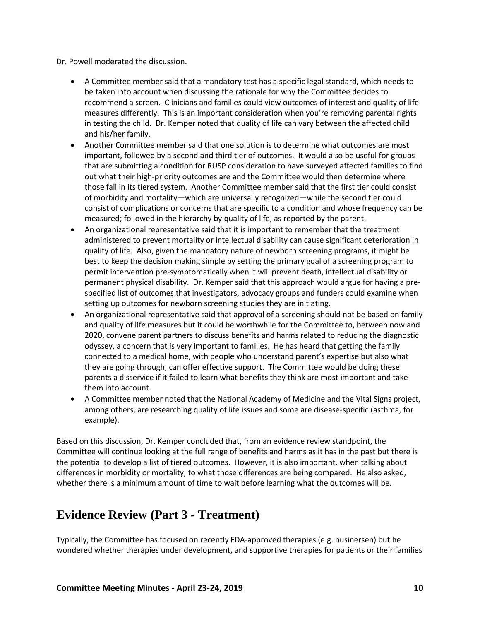Dr. Powell moderated the discussion.

- A Committee member said that a mandatory test has a specific legal standard, which needs to be taken into account when discussing the rationale for why the Committee decides to recommend a screen. Clinicians and families could view outcomes of interest and quality of life measures differently. This is an important consideration when you're removing parental rights in testing the child. Dr. Kemper noted that quality of life can vary between the affected child and his/her family.
- Another Committee member said that one solution is to determine what outcomes are most important, followed by a second and third tier of outcomes. It would also be useful for groups that are submitting a condition for RUSP consideration to have surveyed affected families to find out what their high-priority outcomes are and the Committee would then determine where those fall in its tiered system. Another Committee member said that the first tier could consist of morbidity and mortality—which are universally recognized—while the second tier could consist of complications or concerns that are specific to a condition and whose frequency can be measured; followed in the hierarchy by quality of life, as reported by the parent.
- An organizational representative said that it is important to remember that the treatment administered to prevent mortality or intellectual disability can cause significant deterioration in quality of life. Also, given the mandatory nature of newborn screening programs, it might be best to keep the decision making simple by setting the primary goal of a screening program to permit intervention pre-symptomatically when it will prevent death, intellectual disability or permanent physical disability. Dr. Kemper said that this approach would argue for having a prespecified list of outcomes that investigators, advocacy groups and funders could examine when setting up outcomes for newborn screening studies they are initiating.
- An organizational representative said that approval of a screening should not be based on family and quality of life measures but it could be worthwhile for the Committee to, between now and 2020, convene parent partners to discuss benefits and harms related to reducing the diagnostic odyssey, a concern that is very important to families. He has heard that getting the family connected to a medical home, with people who understand parent's expertise but also what they are going through, can offer effective support. The Committee would be doing these parents a disservice if it failed to learn what benefits they think are most important and take them into account.
- A Committee member noted that the National Academy of Medicine and the Vital Signs project, among others, are researching quality of life issues and some are disease-specific (asthma, for example).

Based on this discussion, Dr. Kemper concluded that, from an evidence review standpoint, the Committee will continue looking at the full range of benefits and harms as it has in the past but there is the potential to develop a list of tiered outcomes. However, it is also important, when talking about differences in morbidity or mortality, to what those differences are being compared. He also asked, whether there is a minimum amount of time to wait before learning what the outcomes will be.

## <span id="page-12-0"></span>**Evidence Review (Part 3 - Treatment)**

Typically, the Committee has focused on recently FDA-approved therapies (e.g. nusinersen) but he wondered whether therapies under development, and supportive therapies for patients or their families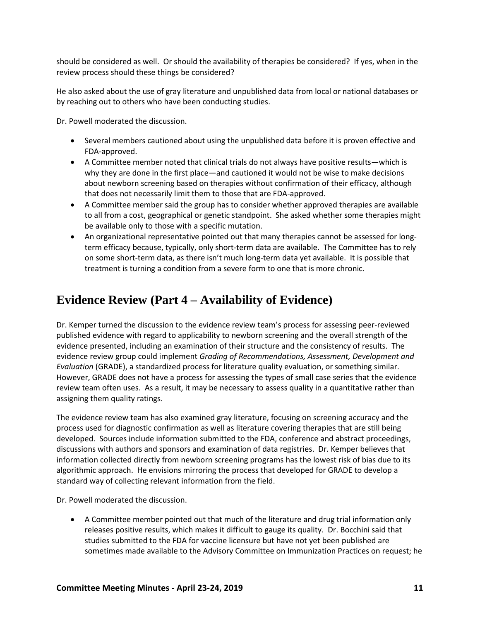should be considered as well. Or should the availability of therapies be considered? If yes, when in the review process should these things be considered?

He also asked about the use of gray literature and unpublished data from local or national databases or by reaching out to others who have been conducting studies.

Dr. Powell moderated the discussion.

- Several members cautioned about using the unpublished data before it is proven effective and FDA-approved.
- A Committee member noted that clinical trials do not always have positive results—which is why they are done in the first place—and cautioned it would not be wise to make decisions about newborn screening based on therapies without confirmation of their efficacy, although that does not necessarily limit them to those that are FDA-approved.
- A Committee member said the group has to consider whether approved therapies are available to all from a cost, geographical or genetic standpoint. She asked whether some therapies might be available only to those with a specific mutation.
- An organizational representative pointed out that many therapies cannot be assessed for longterm efficacy because, typically, only short-term data are available. The Committee has to rely on some short-term data, as there isn't much long-term data yet available. It is possible that treatment is turning a condition from a severe form to one that is more chronic.

# <span id="page-13-0"></span>**Evidence Review (Part 4 – Availability of Evidence)**

Dr. Kemper turned the discussion to the evidence review team's process for assessing peer-reviewed published evidence with regard to applicability to newborn screening and the overall strength of the evidence presented, including an examination of their structure and the consistency of results. The evidence review group could implement *Grading of Recommendations, Assessment, Development and Evaluation* (GRADE), a standardized process for literature quality evaluation, or something similar. However, GRADE does not have a process for assessing the types of small case series that the evidence review team often uses. As a result, it may be necessary to assess quality in a quantitative rather than assigning them quality ratings.

The evidence review team has also examined gray literature, focusing on screening accuracy and the process used for diagnostic confirmation as well as literature covering therapies that are still being developed. Sources include information submitted to the FDA, conference and abstract proceedings, discussions with authors and sponsors and examination of data registries. Dr. Kemper believes that information collected directly from newborn screening programs has the lowest risk of bias due to its algorithmic approach. He envisions mirroring the process that developed for GRADE to develop a standard way of collecting relevant information from the field.

Dr. Powell moderated the discussion.

• A Committee member pointed out that much of the literature and drug trial information only releases positive results, which makes it difficult to gauge its quality. Dr. Bocchini said that studies submitted to the FDA for vaccine licensure but have not yet been published are sometimes made available to the Advisory Committee on Immunization Practices on request; he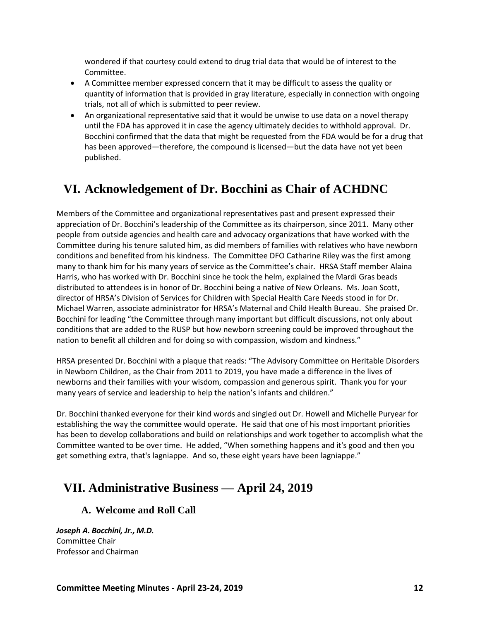wondered if that courtesy could extend to drug trial data that would be of interest to the Committee.

- A Committee member expressed concern that it may be difficult to assess the quality or quantity of information that is provided in gray literature, especially in connection with ongoing trials, not all of which is submitted to peer review.
- An organizational representative said that it would be unwise to use data on a novel therapy until the FDA has approved it in case the agency ultimately decides to withhold approval. Dr. Bocchini confirmed that the data that might be requested from the FDA would be for a drug that has been approved—therefore, the compound is licensed—but the data have not yet been published.

# <span id="page-14-0"></span>**VI. Acknowledgement of Dr. Bocchini as Chair of ACHDNC**

Members of the Committee and organizational representatives past and present expressed their appreciation of Dr. Bocchini's leadership of the Committee as its chairperson, since 2011. Many other people from outside agencies and health care and advocacy organizations that have worked with the Committee during his tenure saluted him, as did members of families with relatives who have newborn conditions and benefited from his kindness. The Committee DFO Catharine Riley was the first among many to thank him for his many years of service as the Committee's chair. HRSA Staff member Alaina Harris, who has worked with Dr. Bocchini since he took the helm, explained the Mardi Gras beads distributed to attendees is in honor of Dr. Bocchini being a native of New Orleans. Ms. Joan Scott, director of HRSA's Division of Services for Children with Special Health Care Needs stood in for Dr. Michael Warren, associate administrator for HRSA's Maternal and Child Health Bureau. She praised Dr. Bocchini for leading "the Committee through many important but difficult discussions, not only about conditions that are added to the RUSP but how newborn screening could be improved throughout the nation to benefit all children and for doing so with compassion, wisdom and kindness."

HRSA presented Dr. Bocchini with a plaque that reads: "The Advisory Committee on Heritable Disorders in Newborn Children, as the Chair from 2011 to 2019, you have made a difference in the lives of newborns and their families with your wisdom, compassion and generous spirit. Thank you for your many years of service and leadership to help the nation's infants and children."

Dr. Bocchini thanked everyone for their kind words and singled out Dr. Howell and Michelle Puryear for establishing the way the committee would operate. He said that one of his most important priorities has been to develop collaborations and build on relationships and work together to accomplish what the Committee wanted to be over time. He added, "When something happens and it's good and then you get something extra, that's lagniappe. And so, these eight years have been lagniappe."

# <span id="page-14-2"></span><span id="page-14-1"></span>**VII. Administrative Business — April 24, 2019**

## **A. Welcome and Roll Call**

*Joseph A. Bocchini, Jr., M.D.*  Committee Chair Professor and Chairman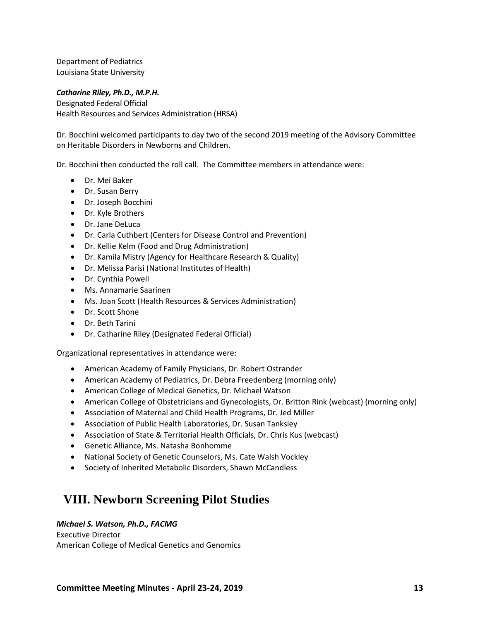Department of Pediatrics Louisiana State University

#### *Catharine Riley, Ph.D., M.P.H.*

Designated Federal Official Health Resources and Services Administration (HRSA)

Dr. Bocchini welcomed participants to day two of the second 2019 meeting of the Advisory Committee on Heritable Disorders in Newborns and Children.

Dr. Bocchini then conducted the roll call. The Committee members in attendance were:

- Dr. Mei Baker
- Dr. Susan Berry
- Dr. Joseph Bocchini
- Dr. Kyle Brothers
- Dr. Jane DeLuca
- Dr. Carla Cuthbert (Centers for Disease Control and Prevention)
- Dr. Kellie Kelm (Food and Drug Administration)
- Dr. Kamila Mistry (Agency for Healthcare Research & Quality)
- Dr. Melissa Parisi (National Institutes of Health)
- Dr. Cynthia Powell
- Ms. Annamarie Saarinen
- Ms. Joan Scott (Health Resources & Services Administration)
- Dr. Scott Shone
- Dr. Beth Tarini
- Dr. Catharine Riley (Designated Federal Official)

Organizational representatives in attendance were:

- American Academy of Family Physicians, Dr. Robert Ostrander
- American Academy of Pediatrics, Dr. Debra Freedenberg (morning only)
- American College of Medical Genetics, Dr. Michael Watson
- American College of Obstetricians and Gynecologists, Dr. Britton Rink (webcast) (morning only)
- Association of Maternal and Child Health Programs, Dr. Jed Miller
- Association of Public Health Laboratories, Dr. Susan Tanksley
- Association of State & Territorial Health Officials, Dr. Chris Kus (webcast)
- Genetic Alliance, Ms. Natasha Bonhomme
- National Society of Genetic Counselors, Ms. Cate Walsh Vockley
- Society of Inherited Metabolic Disorders, Shawn McCandless

## <span id="page-15-0"></span>**VIII. Newborn Screening Pilot Studies**

#### *Michael S. Watson, Ph.D., FACMG*

Executive Director American College of Medical Genetics and Genomics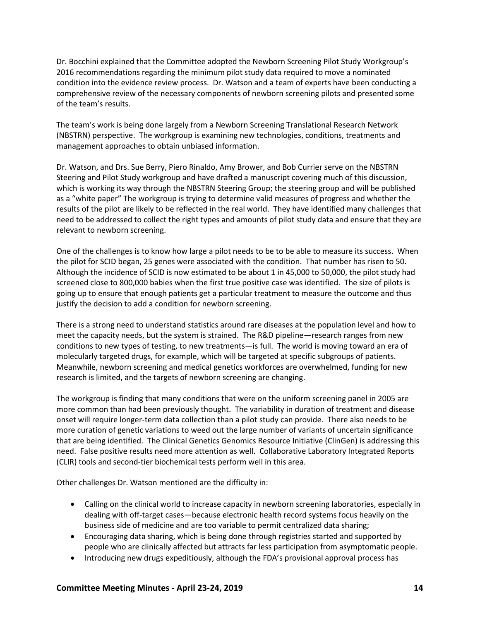Dr. Bocchini explained that the Committee adopted the Newborn Screening Pilot Study Workgroup's 2016 recommendations regarding the minimum pilot study data required to move a nominated condition into the evidence review process. Dr. Watson and a team of experts have been conducting a comprehensive review of the necessary components of newborn screening pilots and presented some of the team's results.

The team's work is being done largely from a Newborn Screening Translational Research Network (NBSTRN) perspective. The workgroup is examining new technologies, conditions, treatments and management approaches to obtain unbiased information.

Dr. Watson, and Drs. Sue Berry, Piero Rinaldo, Amy Brower, and Bob Currier serve on the NBSTRN Steering and Pilot Study workgroup and have drafted a manuscript covering much of this discussion, which is working its way through the NBSTRN Steering Group; the steering group and will be published as a "white paper" The workgroup is trying to determine valid measures of progress and whether the results of the pilot are likely to be reflected in the real world. They have identified many challenges that need to be addressed to collect the right types and amounts of pilot study data and ensure that they are relevant to newborn screening.

One of the challenges is to know how large a pilot needs to be to be able to measure its success. When the pilot for SCID began, 25 genes were associated with the condition. That number has risen to 50. Although the incidence of SCID is now estimated to be about 1 in 45,000 to 50,000, the pilot study had screened close to 800,000 babies when the first true positive case was identified. The size of pilots is going up to ensure that enough patients get a particular treatment to measure the outcome and thus justify the decision to add a condition for newborn screening.

There is a strong need to understand statistics around rare diseases at the population level and how to meet the capacity needs, but the system is strained. The R&D pipeline—research ranges from new conditions to new types of testing, to new treatments—is full. The world is moving toward an era of molecularly targeted drugs, for example, which will be targeted at specific subgroups of patients. Meanwhile, newborn screening and medical genetics workforces are overwhelmed, funding for new research is limited, and the targets of newborn screening are changing.

The workgroup is finding that many conditions that were on the uniform screening panel in 2005 are more common than had been previously thought. The variability in duration of treatment and disease onset will require longer-term data collection than a pilot study can provide. There also needs to be more curation of genetic variations to weed out the large number of variants of uncertain significance that are being identified. The Clinical Genetics Genomics Resource Initiative (ClinGen) is addressing this need. False positive results need more attention as well. Collaborative Laboratory Integrated Reports (CLIR) tools and second-tier biochemical tests perform well in this area.

Other challenges Dr. Watson mentioned are the difficulty in:

- Calling on the clinical world to increase capacity in newborn screening laboratories, especially in dealing with off-target cases—because electronic health record systems focus heavily on the business side of medicine and are too variable to permit centralized data sharing;
- Encouraging data sharing, which is being done through registries started and supported by people who are clinically affected but attracts far less participation from asymptomatic people.
- Introducing new drugs expeditiously, although the FDA's provisional approval process has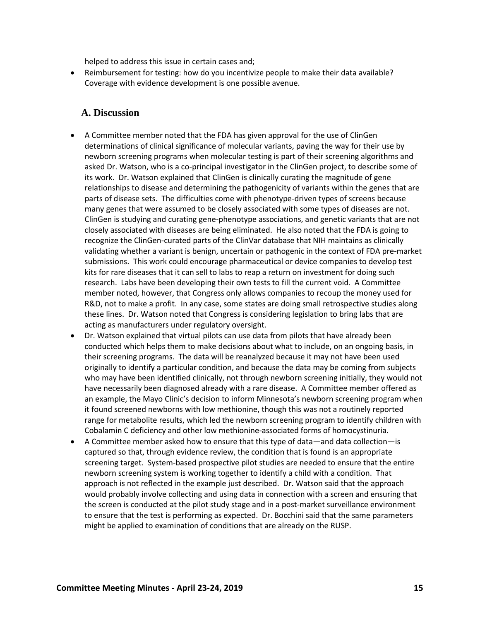helped to address this issue in certain cases and;

• Reimbursement for testing: how do you incentivize people to make their data available? Coverage with evidence development is one possible avenue.

### <span id="page-17-0"></span>**A. Discussion**

- A Committee member noted that the FDA has given approval for the use of ClinGen determinations of clinical significance of molecular variants, paving the way for their use by newborn screening programs when molecular testing is part of their screening algorithms and asked Dr. Watson, who is a co-principal investigator in the ClinGen project, to describe some of its work. Dr. Watson explained that ClinGen is clinically curating the magnitude of gene relationships to disease and determining the pathogenicity of variants within the genes that are parts of disease sets. The difficulties come with phenotype-driven types of screens because many genes that were assumed to be closely associated with some types of diseases are not. ClinGen is studying and curating gene-phenotype associations, and genetic variants that are not closely associated with diseases are being eliminated. He also noted that the FDA is going to recognize the ClinGen-curated parts of the ClinVar database that NIH maintains as clinically validating whether a variant is benign, uncertain or pathogenic in the context of FDA pre-market submissions. This work could encourage pharmaceutical or device companies to develop test kits for rare diseases that it can sell to labs to reap a return on investment for doing such research. Labs have been developing their own tests to fill the current void. A Committee member noted, however, that Congress only allows companies to recoup the money used for R&D, not to make a profit. In any case, some states are doing small retrospective studies along these lines. Dr. Watson noted that Congress is considering legislation to bring labs that are acting as manufacturers under regulatory oversight.
- Dr. Watson explained that virtual pilots can use data from pilots that have already been conducted which helps them to make decisions about what to include, on an ongoing basis, in their screening programs. The data will be reanalyzed because it may not have been used originally to identify a particular condition, and because the data may be coming from subjects who may have been identified clinically, not through newborn screening initially, they would not have necessarily been diagnosed already with a rare disease. A Committee member offered as an example, the Mayo Clinic's decision to inform Minnesota's newborn screening program when it found screened newborns with low methionine, though this was not a routinely reported range for metabolite results, which led the newborn screening program to identify children with Cobalamin C deficiency and other low methionine-associated forms of homocystinuria.
- A Committee member asked how to ensure that this type of data—and data collection—is captured so that, through evidence review, the condition that is found is an appropriate screening target. System-based prospective pilot studies are needed to ensure that the entire newborn screening system is working together to identify a child with a condition. That approach is not reflected in the example just described. Dr. Watson said that the approach would probably involve collecting and using data in connection with a screen and ensuring that the screen is conducted at the pilot study stage and in a post-market surveillance environment to ensure that the test is performing as expected. Dr. Bocchini said that the same parameters might be applied to examination of conditions that are already on the RUSP.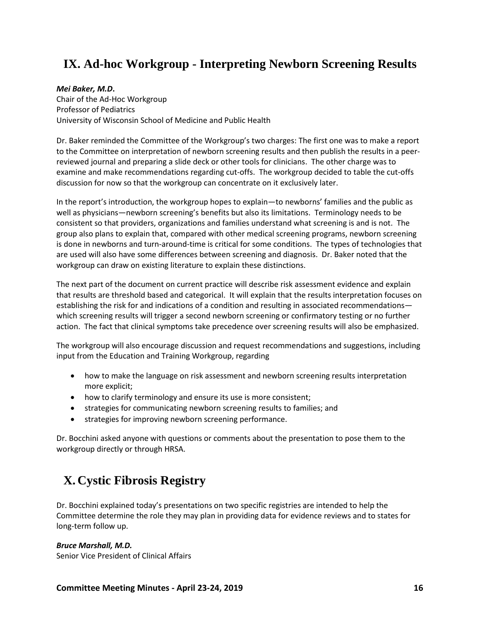# <span id="page-18-0"></span>**IX. Ad-hoc Workgroup - Interpreting Newborn Screening Results**

### *Mei Baker, M.D***.**

Chair of the Ad-Hoc Workgroup Professor of Pediatrics University of Wisconsin School of Medicine and Public Health

Dr. Baker reminded the Committee of the Workgroup's two charges: The first one was to make a report to the Committee on interpretation of newborn screening results and then publish the results in a peerreviewed journal and preparing a slide deck or other tools for clinicians. The other charge was to examine and make recommendations regarding cut-offs. The workgroup decided to table the cut-offs discussion for now so that the workgroup can concentrate on it exclusively later.

In the report's introduction, the workgroup hopes to explain—to newborns' families and the public as well as physicians—newborn screening's benefits but also its limitations. Terminology needs to be consistent so that providers, organizations and families understand what screening is and is not. The group also plans to explain that, compared with other medical screening programs, newborn screening is done in newborns and turn-around-time is critical for some conditions. The types of technologies that are used will also have some differences between screening and diagnosis. Dr. Baker noted that the workgroup can draw on existing literature to explain these distinctions.

The next part of the document on current practice will describe risk assessment evidence and explain that results are threshold based and categorical. It will explain that the results interpretation focuses on establishing the risk for and indications of a condition and resulting in associated recommendations which screening results will trigger a second newborn screening or confirmatory testing or no further action. The fact that clinical symptoms take precedence over screening results will also be emphasized.

The workgroup will also encourage discussion and request recommendations and suggestions, including input from the Education and Training Workgroup, regarding

- how to make the language on risk assessment and newborn screening results interpretation more explicit;
- how to clarify terminology and ensure its use is more consistent;
- strategies for communicating newborn screening results to families; and
- strategies for improving newborn screening performance.

Dr. Bocchini asked anyone with questions or comments about the presentation to pose them to the workgroup directly or through HRSA.

# <span id="page-18-1"></span>**X. Cystic Fibrosis Registry**

Dr. Bocchini explained today's presentations on two specific registries are intended to help the Committee determine the role they may plan in providing data for evidence reviews and to states for long-term follow up.

### *Bruce Marshall, M.D.*

Senior Vice President of Clinical Affairs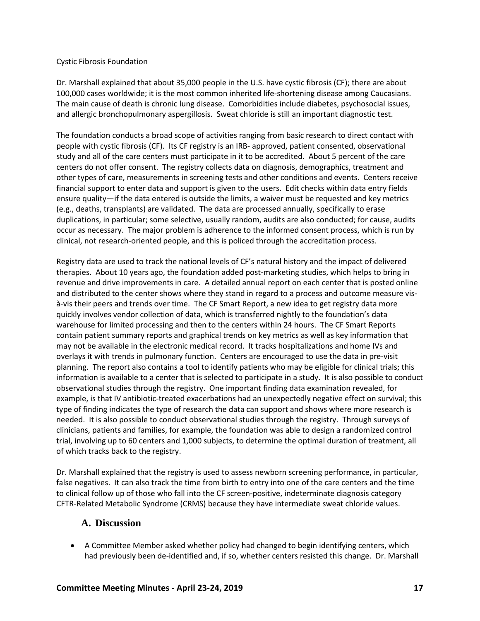#### Cystic Fibrosis Foundation

Dr. Marshall explained that about 35,000 people in the U.S. have cystic fibrosis (CF); there are about 100,000 cases worldwide; it is the most common inherited life-shortening disease among Caucasians. The main cause of death is chronic lung disease. Comorbidities include diabetes, psychosocial issues, and allergic bronchopulmonary aspergillosis. Sweat chloride is still an important diagnostic test.

The foundation conducts a broad scope of activities ranging from basic research to direct contact with people with cystic fibrosis (CF). Its CF registry is an IRB- approved, patient consented, observational study and all of the care centers must participate in it to be accredited. About 5 percent of the care centers do not offer consent. The registry collects data on diagnosis, demographics, treatment and other types of care, measurements in screening tests and other conditions and events. Centers receive financial support to enter data and support is given to the users. Edit checks within data entry fields ensure quality—if the data entered is outside the limits, a waiver must be requested and key metrics (e.g., deaths, transplants) are validated. The data are processed annually, specifically to erase duplications, in particular; some selective, usually random, audits are also conducted; for cause, audits occur as necessary. The major problem is adherence to the informed consent process, which is run by clinical, not research-oriented people, and this is policed through the accreditation process.

Registry data are used to track the national levels of CF's natural history and the impact of delivered therapies. About 10 years ago, the foundation added post-marketing studies, which helps to bring in revenue and drive improvements in care. A detailed annual report on each center that is posted online and distributed to the center shows where they stand in regard to a process and outcome measure visà-vis their peers and trends over time. The CF Smart Report, a new idea to get registry data more quickly involves vendor collection of data, which is transferred nightly to the foundation's data warehouse for limited processing and then to the centers within 24 hours. The CF Smart Reports contain patient summary reports and graphical trends on key metrics as well as key information that may not be available in the electronic medical record. It tracks hospitalizations and home IVs and overlays it with trends in pulmonary function. Centers are encouraged to use the data in pre-visit planning. The report also contains a tool to identify patients who may be eligible for clinical trials; this information is available to a center that is selected to participate in a study. It is also possible to conduct observational studies through the registry. One important finding data examination revealed, for example, is that IV antibiotic-treated exacerbations had an unexpectedly negative effect on survival; this type of finding indicates the type of research the data can support and shows where more research is needed. It is also possible to conduct observational studies through the registry. Through surveys of clinicians, patients and families, for example, the foundation was able to design a randomized control trial, involving up to 60 centers and 1,000 subjects, to determine the optimal duration of treatment, all of which tracks back to the registry.

Dr. Marshall explained that the registry is used to assess newborn screening performance, in particular, false negatives. It can also track the time from birth to entry into one of the care centers and the time to clinical follow up of those who fall into the CF screen-positive, indeterminate diagnosis category CFTR-Related Metabolic Syndrome (CRMS) because they have intermediate sweat chloride values.

### <span id="page-19-0"></span>**A. Discussion**

• A Committee Member asked whether policy had changed to begin identifying centers, which had previously been de-identified and, if so, whether centers resisted this change. Dr. Marshall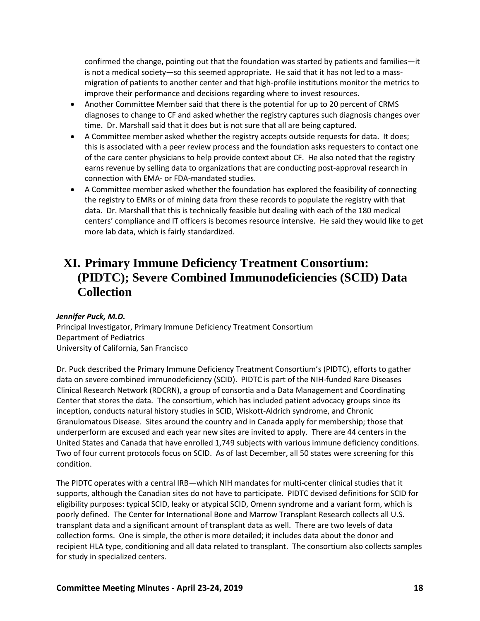confirmed the change, pointing out that the foundation was started by patients and families—it is not a medical society—so this seemed appropriate. He said that it has not led to a massmigration of patients to another center and that high-profile institutions monitor the metrics to improve their performance and decisions regarding where to invest resources.

- Another Committee Member said that there is the potential for up to 20 percent of CRMS diagnoses to change to CF and asked whether the registry captures such diagnosis changes over time. Dr. Marshall said that it does but is not sure that all are being captured.
- A Committee member asked whether the registry accepts outside requests for data. It does; this is associated with a peer review process and the foundation asks requesters to contact one of the care center physicians to help provide context about CF. He also noted that the registry earns revenue by selling data to organizations that are conducting post-approval research in connection with EMA- or FDA-mandated studies.
- A Committee member asked whether the foundation has explored the feasibility of connecting the registry to EMRs or of mining data from these records to populate the registry with that data. Dr. Marshall that this is technically feasible but dealing with each of the 180 medical centers' compliance and IT officers is becomes resource intensive. He said they would like to get more lab data, which is fairly standardized.

# <span id="page-20-0"></span>**XI. Primary Immune Deficiency Treatment Consortium: (PIDTC); Severe Combined Immunodeficiencies (SCID) Data Collection**

### *Jennifer Puck, M.D.*

Principal Investigator, Primary Immune Deficiency Treatment Consortium Department of Pediatrics University of California, San Francisco

Dr. Puck described the Primary Immune Deficiency Treatment Consortium's (PIDTC), efforts to gather data on severe combined immunodeficiency (SCID). PIDTC is part of the NIH-funded Rare Diseases Clinical Research Network (RDCRN), a group of consortia and a Data Management and Coordinating Center that stores the data. The consortium, which has included patient advocacy groups since its inception, conducts natural history studies in SCID, Wiskott-Aldrich syndrome, and Chronic Granulomatous Disease. Sites around the country and in Canada apply for membership; those that underperform are excused and each year new sites are invited to apply. There are 44 centers in the United States and Canada that have enrolled 1,749 subjects with various immune deficiency conditions. Two of four current protocols focus on SCID. As of last December, all 50 states were screening for this condition.

The PIDTC operates with a central IRB—which NIH mandates for multi-center clinical studies that it supports, although the Canadian sites do not have to participate. PIDTC devised definitions for SCID for eligibility purposes: typical SCID, leaky or atypical SCID, Omenn syndrome and a variant form, which is poorly defined. The Center for International Bone and Marrow Transplant Research collects all U.S. transplant data and a significant amount of transplant data as well. There are two levels of data collection forms. One is simple, the other is more detailed; it includes data about the donor and recipient HLA type, conditioning and all data related to transplant. The consortium also collects samples for study in specialized centers.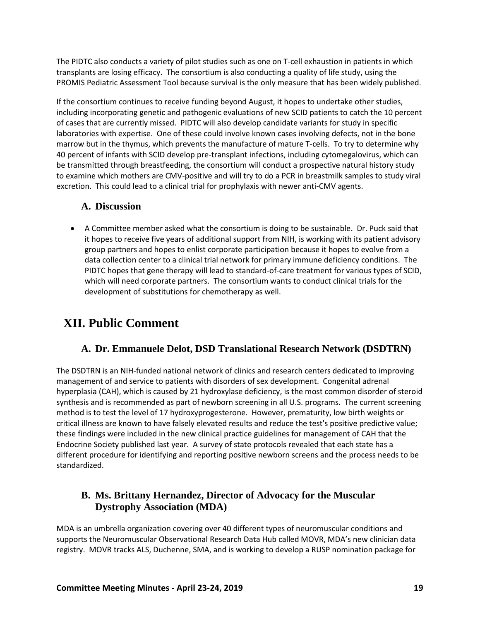The PIDTC also conducts a variety of pilot studies such as one on T-cell exhaustion in patients in which transplants are losing efficacy. The consortium is also conducting a quality of life study, using the PROMIS Pediatric Assessment Tool because survival is the only measure that has been widely published.

If the consortium continues to receive funding beyond August, it hopes to undertake other studies, including incorporating genetic and pathogenic evaluations of new SCID patients to catch the 10 percent of cases that are currently missed. PIDTC will also develop candidate variants for study in specific laboratories with expertise. One of these could involve known cases involving defects, not in the bone marrow but in the thymus, which prevents the manufacture of mature T-cells. To try to determine why 40 percent of infants with SCID develop pre-transplant infections, including cytomegalovirus, which can be transmitted through breastfeeding, the consortium will conduct a prospective natural history study to examine which mothers are CMV-positive and will try to do a PCR in breastmilk samples to study viral excretion. This could lead to a clinical trial for prophylaxis with newer anti-CMV agents.

### <span id="page-21-0"></span>**A. Discussion**

• A Committee member asked what the consortium is doing to be sustainable. Dr. Puck said that it hopes to receive five years of additional support from NIH, is working with its patient advisory group partners and hopes to enlist corporate participation because it hopes to evolve from a data collection center to a clinical trial network for primary immune deficiency conditions. The PIDTC hopes that gene therapy will lead to standard-of-care treatment for various types of SCID, which will need corporate partners. The consortium wants to conduct clinical trials for the development of substitutions for chemotherapy as well.

# <span id="page-21-1"></span>**XII. Public Comment**

## **A. Dr. Emmanuele Delot, DSD Translational Research Network (DSDTRN)**

<span id="page-21-2"></span>The DSDTRN is an NIH-funded national network of clinics and research centers dedicated to improving management of and service to patients with disorders of sex development. Congenital adrenal hyperplasia (CAH), which is caused by 21 hydroxylase deficiency, is the most common disorder of steroid synthesis and is recommended as part of newborn screening in all U.S. programs. The current screening method is to test the level of 17 hydroxyprogesterone. However, prematurity, low birth weights or critical illness are known to have falsely elevated results and reduce the test's positive predictive value; these findings were included in the new clinical practice guidelines for management of CAH that the Endocrine Society published last year. A survey of state protocols revealed that each state has a different procedure for identifying and reporting positive newborn screens and the process needs to be standardized.

## <span id="page-21-3"></span>**B. Ms. Brittany Hernandez, Director of Advocacy for the Muscular Dystrophy Association (MDA)**

MDA is an umbrella organization covering over 40 different types of neuromuscular conditions and supports the Neuromuscular Observational Research Data Hub called MOVR, MDA's new clinician data registry. MOVR tracks ALS, Duchenne, SMA, and is working to develop a RUSP nomination package for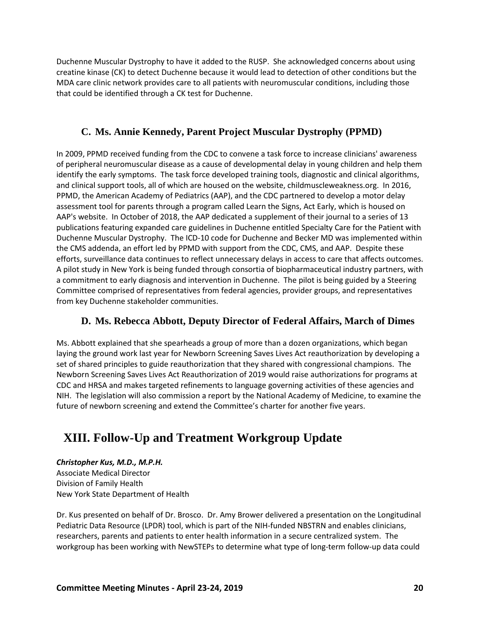Duchenne Muscular Dystrophy to have it added to the RUSP. She acknowledged concerns about using creatine kinase (CK) to detect Duchenne because it would lead to detection of other conditions but the MDA care clinic network provides care to all patients with neuromuscular conditions, including those that could be identified through a CK test for Duchenne.

## **C. Ms. Annie Kennedy, Parent Project Muscular Dystrophy (PPMD)**

<span id="page-22-0"></span>In 2009, PPMD received funding from the CDC to convene a task force to increase clinicians' awareness of peripheral neuromuscular disease as a cause of developmental delay in young children and help them identify the early symptoms. The task force developed training tools, diagnostic and clinical algorithms, and clinical support tools, all of which are housed on the website, childmuscleweakness.org. In 2016, PPMD, the American Academy of Pediatrics (AAP), and the CDC partnered to develop a motor delay assessment tool for parents through a program called Learn the Signs, Act Early, which is housed on AAP's website. In October of 2018, the AAP dedicated a supplement of their journal to a series of 13 publications featuring expanded care guidelines in Duchenne entitled Specialty Care for the Patient with Duchenne Muscular Dystrophy. The ICD-10 code for Duchenne and Becker MD was implemented within the CMS addenda, an effort led by PPMD with support from the CDC, CMS, and AAP. Despite these efforts, surveillance data continues to reflect unnecessary delays in access to care that affects outcomes. A pilot study in New York is being funded through consortia of biopharmaceutical industry partners, with a commitment to early diagnosis and intervention in Duchenne. The pilot is being guided by a Steering Committee comprised of representatives from federal agencies, provider groups, and representatives from key Duchenne stakeholder communities.

## **D. Ms. Rebecca Abbott, Deputy Director of Federal Affairs, March of Dimes**

<span id="page-22-1"></span>Ms. Abbott explained that she spearheads a group of more than a dozen organizations, which began laying the ground work last year for Newborn Screening Saves Lives Act reauthorization by developing a set of shared principles to guide reauthorization that they shared with congressional champions. The Newborn Screening Saves Lives Act Reauthorization of 2019 would raise authorizations for programs at CDC and HRSA and makes targeted refinements to language governing activities of these agencies and NIH. The legislation will also commission a report by the National Academy of Medicine, to examine the future of newborn screening and extend the Committee's charter for another five years.

# <span id="page-22-2"></span>**XIII. Follow-Up and Treatment Workgroup Update**

*Christopher Kus, M.D., M.P.H.* 

Associate Medical Director Division of Family Health New York State Department of Health

Dr. Kus presented on behalf of Dr. Brosco. Dr. Amy Brower delivered a presentation on the Longitudinal Pediatric Data Resource (LPDR) tool, which is part of the NIH-funded NBSTRN and enables clinicians, researchers, parents and patients to enter health information in a secure centralized system. The workgroup has been working with NewSTEPs to determine what type of long-term follow-up data could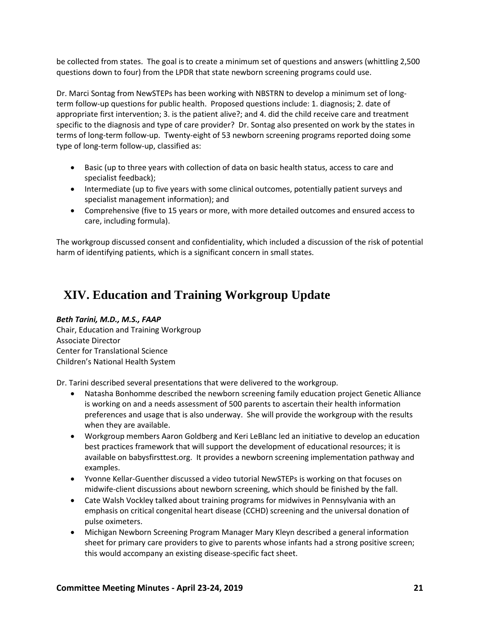be collected from states. The goal is to create a minimum set of questions and answers (whittling 2,500 questions down to four) from the LPDR that state newborn screening programs could use.

Dr. Marci Sontag from NewSTEPs has been working with NBSTRN to develop a minimum set of longterm follow-up questions for public health. Proposed questions include: 1. diagnosis; 2. date of appropriate first intervention; 3. is the patient alive?; and 4. did the child receive care and treatment specific to the diagnosis and type of care provider? Dr. Sontag also presented on work by the states in terms of long-term follow-up. Twenty-eight of 53 newborn screening programs reported doing some type of long-term follow-up, classified as:

- Basic (up to three years with collection of data on basic health status, access to care and specialist feedback);
- Intermediate (up to five years with some clinical outcomes, potentially patient surveys and specialist management information); and
- Comprehensive (five to 15 years or more, with more detailed outcomes and ensured access to care, including formula).

The workgroup discussed consent and confidentiality, which included a discussion of the risk of potential harm of identifying patients, which is a significant concern in small states.

# <span id="page-23-0"></span>**XIV. Education and Training Workgroup Update**

## *Beth Tarini, M.D., M.S., FAAP*

Chair, Education and Training Workgroup Associate Director Center for Translational Science Children's National Health System

Dr. Tarini described several presentations that were delivered to the workgroup.

- Natasha Bonhomme described the newborn screening family education project Genetic Alliance is working on and a needs assessment of 500 parents to ascertain their health information preferences and usage that is also underway. She will provide the workgroup with the results when they are available.
- Workgroup members Aaron Goldberg and Keri LeBlanc led an initiative to develop an education best practices framework that will support the development of educational resources; it is available on babysfirsttest.org. It provides a newborn screening implementation pathway and examples.
- Yvonne Kellar-Guenther discussed a video tutorial NewSTEPs is working on that focuses on midwife-client discussions about newborn screening, which should be finished by the fall.
- Cate Walsh Vockley talked about training programs for midwives in Pennsylvania with an emphasis on critical congenital heart disease (CCHD) screening and the universal donation of pulse oximeters.
- Michigan Newborn Screening Program Manager Mary Kleyn described a general information sheet for primary care providers to give to parents whose infants had a strong positive screen; this would accompany an existing disease-specific fact sheet.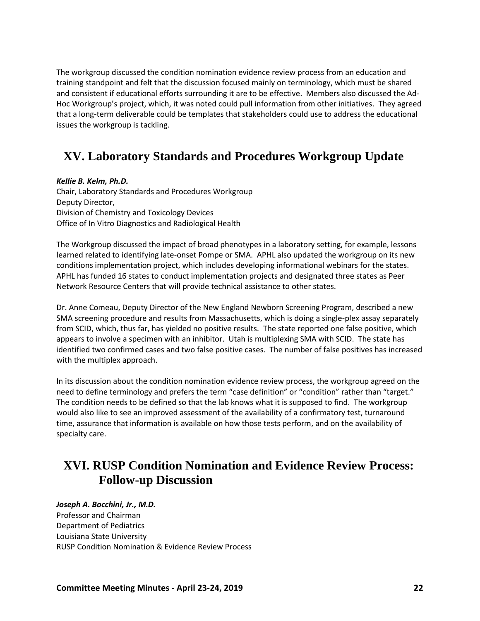The workgroup discussed the condition nomination evidence review process from an education and training standpoint and felt that the discussion focused mainly on terminology, which must be shared and consistent if educational efforts surrounding it are to be effective. Members also discussed the Ad-Hoc Workgroup's project, which, it was noted could pull information from other initiatives. They agreed that a long-term deliverable could be templates that stakeholders could use to address the educational issues the workgroup is tackling.

# <span id="page-24-0"></span>**XV. Laboratory Standards and Procedures Workgroup Update**

### *Kellie B. Kelm, Ph.D.*

Chair, Laboratory Standards and Procedures Workgroup Deputy Director, Division of Chemistry and Toxicology Devices Office of In Vitro Diagnostics and Radiological Health

The Workgroup discussed the impact of broad phenotypes in a laboratory setting, for example, lessons learned related to identifying late-onset Pompe or SMA. APHL also updated the workgroup on its new conditions implementation project, which includes developing informational webinars for the states. APHL has funded 16 states to conduct implementation projects and designated three states as Peer Network Resource Centers that will provide technical assistance to other states.

Dr. Anne Comeau, Deputy Director of the New England Newborn Screening Program, described a new SMA screening procedure and results from Massachusetts, which is doing a single-plex assay separately from SCID, which, thus far, has yielded no positive results. The state reported one false positive, which appears to involve a specimen with an inhibitor. Utah is multiplexing SMA with SCID. The state has identified two confirmed cases and two false positive cases. The number of false positives has increased with the multiplex approach.

In its discussion about the condition nomination evidence review process, the workgroup agreed on the need to define terminology and prefers the term "case definition" or "condition" rather than "target." The condition needs to be defined so that the lab knows what it is supposed to find. The workgroup would also like to see an improved assessment of the availability of a confirmatory test, turnaround time, assurance that information is available on how those tests perform, and on the availability of specialty care.

## <span id="page-24-1"></span>**XVI. RUSP Condition Nomination and Evidence Review Process: Follow-up Discussion**

### *Joseph A. Bocchini, Jr., M.D.* Professor and Chairman Department of Pediatrics Louisiana State University RUSP Condition Nomination & Evidence Review Process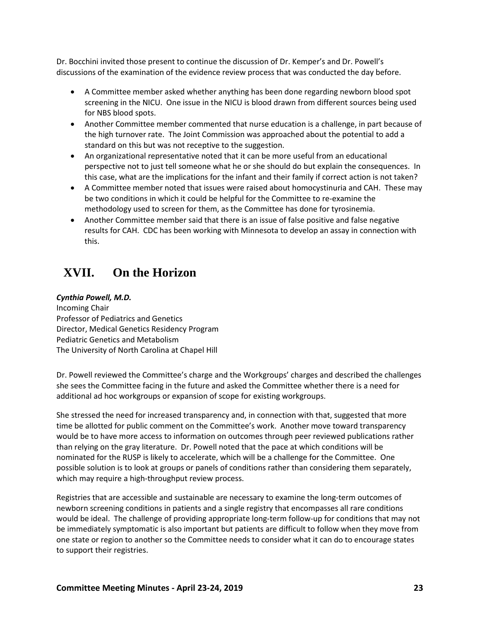Dr. Bocchini invited those present to continue the discussion of Dr. Kemper's and Dr. Powell's discussions of the examination of the evidence review process that was conducted the day before.

- A Committee member asked whether anything has been done regarding newborn blood spot screening in the NICU. One issue in the NICU is blood drawn from different sources being used for NBS blood spots.
- Another Committee member commented that nurse education is a challenge, in part because of the high turnover rate. The Joint Commission was approached about the potential to add a standard on this but was not receptive to the suggestion.
- An organizational representative noted that it can be more useful from an educational perspective not to just tell someone what he or she should do but explain the consequences. In this case, what are the implications for the infant and their family if correct action is not taken?
- A Committee member noted that issues were raised about homocystinuria and CAH. These may be two conditions in which it could be helpful for the Committee to re-examine the methodology used to screen for them, as the Committee has done for tyrosinemia.
- Another Committee member said that there is an issue of false positive and false negative results for CAH. CDC has been working with Minnesota to develop an assay in connection with this.

# <span id="page-25-0"></span>**XVII. On the Horizon**

### *Cynthia Powell, M.D.*

Incoming Chair Professor of Pediatrics and Genetics Director, Medical Genetics Residency Program Pediatric Genetics and Metabolism The University of North Carolina at Chapel Hill

Dr. Powell reviewed the Committee's charge and the Workgroups' charges and described the challenges she sees the Committee facing in the future and asked the Committee whether there is a need for additional ad hoc workgroups or expansion of scope for existing workgroups.

She stressed the need for increased transparency and, in connection with that, suggested that more time be allotted for public comment on the Committee's work. Another move toward transparency would be to have more access to information on outcomes through peer reviewed publications rather than relying on the gray literature. Dr. Powell noted that the pace at which conditions will be nominated for the RUSP is likely to accelerate, which will be a challenge for the Committee. One possible solution is to look at groups or panels of conditions rather than considering them separately, which may require a high-throughput review process.

Registries that are accessible and sustainable are necessary to examine the long-term outcomes of newborn screening conditions in patients and a single registry that encompasses all rare conditions would be ideal. The challenge of providing appropriate long-term follow-up for conditions that may not be immediately symptomatic is also important but patients are difficult to follow when they move from one state or region to another so the Committee needs to consider what it can do to encourage states to support their registries.